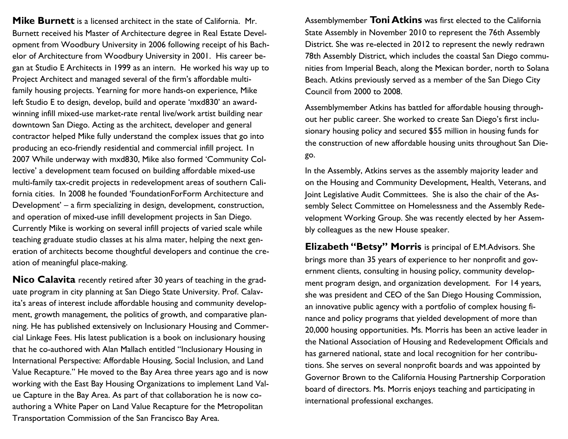**Mike Burnett** is a licensed architect in the state of California. Mr. Burnett received his Master of Architecture degree in Real Estate Development from Woodbury University in 2006 following receipt of his Bachelor of Architecture from Woodbury University in 2001. His career began at Studio E Architects in 1999 as an intern. He worked his way up to Project Architect and managed several of the firm's affordable multifamily housing projects. Yearning for more hands-on experience, Mike left Studio E to design, develop, build and operate 'mxd830' an awardwinning infill mixed-use market-rate rental live/work artist building near downtown San Diego. Acting as the architect, developer and general contractor helped Mike fully understand the complex issues that go into producing an eco-friendly residential and commercial infill project. 1n 2007 While underway with mxd830, Mike also formed 'Community Collective' a development team focused on building affordable mixed-use multi-family tax-credit projects in redevelopment areas of southern California cities. In 2008 he founded 'FoundationForForm Architecture and Development' – a firm specializing in design, development, construction, and operation of mixed-use infill development projects in San Diego. Currently Mike is working on several infill projects of varied scale while teaching graduate studio classes at his alma mater, helping the next generation of architects become thoughtful developers and continue the creation of meaningful place-making.

**Nico Calavita** recently retired after 30 years of teaching in the graduate program in city planning at San Diego State University. Prof. Calavita's areas of interest include affordable housing and community development, growth management, the politics of growth, and comparative planning. He has published extensively on Inclusionary Housing and Commercial Linkage Fees. His latest publication is a book on inclusionary housing that he co-authored with Alan Mallach entitled "Inclusionary Housing in International Perspective: Affordable Housing, Social Inclusion, and Land Value Recapture." He moved to the Bay Area three years ago and is now working with the East Bay Housing Organizations to implement Land Value Capture in the Bay Area. As part of that collaboration he is now coauthoring a White Paper on Land Value Recapture for the Metropolitan Transportation Commission of the San Francisco Bay Area.

Assemblymember **Toni Atkins** was first elected to the California State Assembly in November 2010 to represent the 76th Assembly District. She was re-elected in 2012 to represent the newly redrawn 78th Assembly District, which includes the coastal San Diego communities from Imperial Beach, along the Mexican border, north to Solana Beach. Atkins previously served as a member of the San Diego City Council from 2000 to 2008.

Assemblymember Atkins has battled for affordable housing throughout her public career. She worked to create San Diego's first inclusionary housing policy and secured \$55 million in housing funds for the construction of new affordable housing units throughout San Diego.

In the Assembly, Atkins serves as the assembly majority leader and on the Housing and Community Development, Health, Veterans, and Joint Legislative Audit Committees. She is also the chair of the Assembly Select Committee on Homelessness and the Assembly Redevelopment Working Group. She was recently elected by her Assembly colleagues as the new House speaker.

**Elizabeth "Betsy" Morris** is principal of E.M.Advisors. She brings more than 35 years of experience to her nonprofit and government clients, consulting in housing policy, community development program design, and organization development. For 14 years, she was president and CEO of the San Diego Housing Commission, an innovative public agency with a portfolio of complex housing finance and policy programs that yielded development of more than 20,000 housing opportunities. Ms. Morris has been an active leader in the National Association of Housing and Redevelopment Officials and has garnered national, state and local recognition for her contributions. She serves on several nonprofit boards and was appointed by Governor Brown to the California Housing Partnership Corporation board of directors. Ms. Morris enjoys teaching and participating in international professional exchanges.